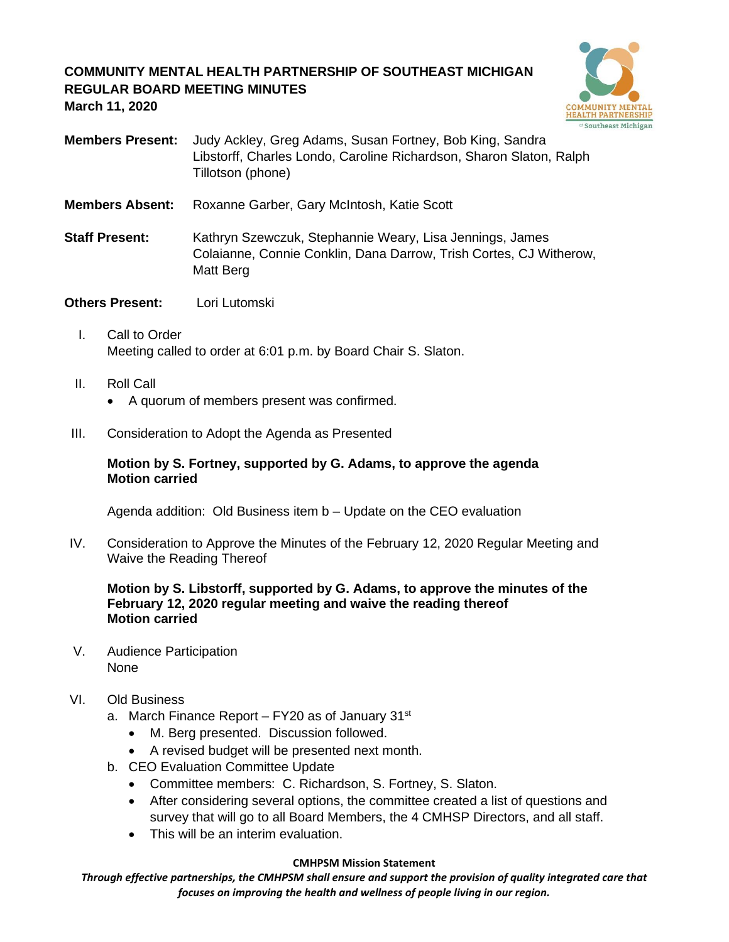# **COMMUNITY MENTAL HEALTH PARTNERSHIP OF SOUTHEAST MICHIGAN REGULAR BOARD MEETING MINUTES March 11, 2020**



- **Members Present:** Judy Ackley, Greg Adams, Susan Fortney, Bob King, Sandra Libstorff, Charles Londo, Caroline Richardson, Sharon Slaton, Ralph Tillotson (phone)
- **Members Absent:** Roxanne Garber, Gary McIntosh, Katie Scott
- **Staff Present:** Kathryn Szewczuk, Stephannie Weary, Lisa Jennings, James Colaianne, Connie Conklin, Dana Darrow, Trish Cortes, CJ Witherow, Matt Berg
- **Others Present:** Lori Lutomski
	- I. Call to Order Meeting called to order at 6:01 p.m. by Board Chair S. Slaton.
	- II. Roll Call
		- A quorum of members present was confirmed.
- III. Consideration to Adopt the Agenda as Presented

### **Motion by S. Fortney, supported by G. Adams, to approve the agenda Motion carried**

Agenda addition: Old Business item b – Update on the CEO evaluation

IV. Consideration to Approve the Minutes of the February 12, 2020 Regular Meeting and Waive the Reading Thereof

## **Motion by S. Libstorff, supported by G. Adams, to approve the minutes of the February 12, 2020 regular meeting and waive the reading thereof Motion carried**

V. Audience Participation None

## VI. Old Business

- a. March Finance Report FY20 as of January 31<sup>st</sup>
	- M. Berg presented. Discussion followed.
	- A revised budget will be presented next month.
- b. CEO Evaluation Committee Update
	- Committee members: C. Richardson, S. Fortney, S. Slaton.
	- After considering several options, the committee created a list of questions and survey that will go to all Board Members, the 4 CMHSP Directors, and all staff.
	- This will be an interim evaluation.

#### **CMHPSM Mission Statement**

*Through effective partnerships, the CMHPSM shall ensure and support the provision of quality integrated care that focuses on improving the health and wellness of people living in our region.*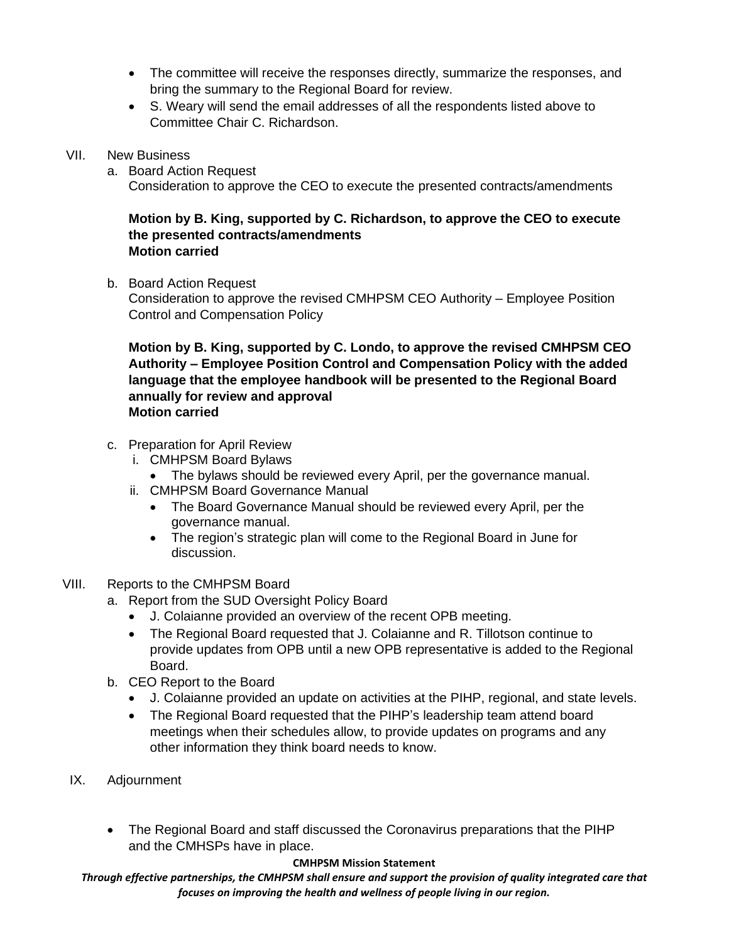- The committee will receive the responses directly, summarize the responses, and bring the summary to the Regional Board for review.
- S. Weary will send the email addresses of all the respondents listed above to Committee Chair C. Richardson.
- VII. New Business
	- a. Board Action Request

Consideration to approve the CEO to execute the presented contracts/amendments

## **Motion by B. King, supported by C. Richardson, to approve the CEO to execute the presented contracts/amendments Motion carried**

b. Board Action Request Consideration to approve the revised CMHPSM CEO Authority – Employee Position

Control and Compensation Policy

**Motion by B. King, supported by C. Londo, to approve the revised CMHPSM CEO Authority – Employee Position Control and Compensation Policy with the added language that the employee handbook will be presented to the Regional Board annually for review and approval Motion carried**

- c. Preparation for April Review
	- i. CMHPSM Board Bylaws
		- The bylaws should be reviewed every April, per the governance manual.
	- ii. CMHPSM Board Governance Manual
		- The Board Governance Manual should be reviewed every April, per the governance manual.
		- The region's strategic plan will come to the Regional Board in June for discussion.
- VIII. Reports to the CMHPSM Board
	- a. Report from the SUD Oversight Policy Board
		- J. Colaianne provided an overview of the recent OPB meeting.
		- The Regional Board requested that J. Colaianne and R. Tillotson continue to provide updates from OPB until a new OPB representative is added to the Regional Board.
	- b. CEO Report to the Board
		- J. Colaianne provided an update on activities at the PIHP, regional, and state levels.
		- The Regional Board requested that the PIHP's leadership team attend board meetings when their schedules allow, to provide updates on programs and any other information they think board needs to know.
- IX. Adjournment
	- The Regional Board and staff discussed the Coronavirus preparations that the PIHP and the CMHSPs have in place.

#### **CMHPSM Mission Statement**

*Through effective partnerships, the CMHPSM shall ensure and support the provision of quality integrated care that focuses on improving the health and wellness of people living in our region.*